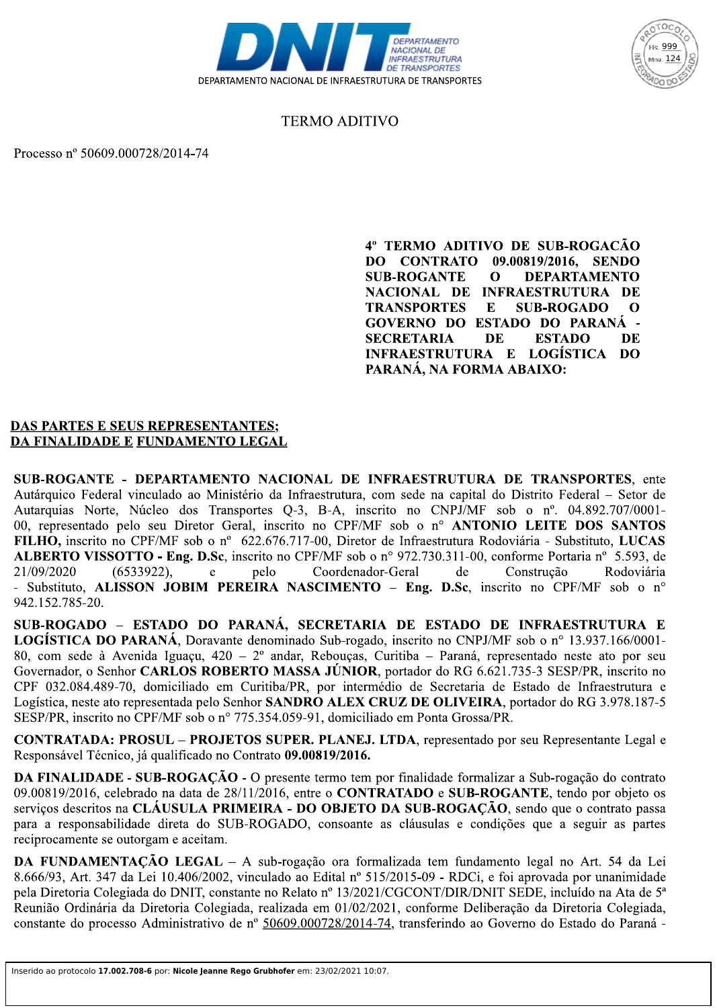



## **TERMO ADITIVO**

Processo nº 50609.000728/2014-74

4º TERMO ADITIVO DE SUB-ROGACÃO DO CONTRATO 09.00819/2016, SENDO **SUB-ROGANTE**  $\mathbf 0$ **DEPARTAMENTO** NACIONAL DE INFRAESTRUTURA DE **TRANSPORTES SUB-ROGADO**  $\mathbf{E}$  $\Omega$ GOVERNO DO ESTADO DO PARANÁ -**SECRETARIA** DE **ESTADO** DE INFRAESTRUTURA E LOGÍSTICA DO PARANÁ, NA FORMA ABAIXO:

#### **DAS PARTES E SEUS REPRESENTANTES;** DA FINALIDADE E FUNDAMENTO LEGAL

SUB-ROGANTE - DEPARTAMENTO NACIONAL DE INFRAESTRUTURA DE TRANSPORTES, ente Autárquico Federal vinculado ao Ministério da Infraestrutura, com sede na capital do Distrito Federal - Setor de Autarquias Norte, Núcleo dos Transportes Q-3, B-A, inscrito no CNPJ/MF sob o nº. 04.892.707/0001-00, representado pelo seu Diretor Geral, inscrito no CPF/MF sob o nº ANTONIO LEITE DOS SANTOS FILHO, inscrito no CPF/MF sob o nº 622.676.717-00, Diretor de Infraestrutura Rodoviária - Substituto, LUCAS ALBERTO VISSOTTO - Eng. D.Sc, inscrito no CPF/MF sob o n° 972.730.311-00, conforme Portaria n° 5.593, de  $(6533922)$ , pelo Coordenador-Geral de Construção 21/09/2020  $\mathbf{e}$ Rodoviária - Substituto, ALISSON JOBIM PEREIRA NASCIMENTO – Eng. D.Sc, inscrito no CPF/MF sob o n° 942.152.785-20.

SUB-ROGADO - ESTADO DO PARANÁ, SECRETARIA DE ESTADO DE INFRAESTRUTURA E **LOGÍSTICA DO PARANÁ**, Doravante denominado Sub-rogado, inscrito no CNPJ/MF sob o nº 13.937.166/0001-80, com sede à Avenida Iguaçu, 420 – 2º andar, Rebouças, Curitiba – Paraná, representado neste ato por seu Governador, o Senhor CARLOS ROBERTO MASSA JÚNIOR, portador do RG 6.621.735-3 SESP/PR, inscrito no CPF 032.084.489-70, domiciliado em Curitiba/PR, por intermédio de Secretaria de Estado de Infraestrutura e Logística, neste ato representada pelo Senhor SANDRO ALEX CRUZ DE OLIVEIRA, portador do RG 3.978.187-5 SESP/PR, inscrito no CPF/MF sob o n° 775.354.059-91, domiciliado em Ponta Grossa/PR.

CONTRATADA: PROSUL – PROJETOS SUPER. PLANEJ. LTDA, representado por seu Representante Legal e Responsável Técnico, já qualificado no Contrato 09.00819/2016.

DA FINALIDADE - SUB-ROGAÇÃO - O presente termo tem por finalidade formalizar a Sub-rogação do contrato 09.00819/2016, celebrado na data de 28/11/2016, entre o **CONTRATADO** e **SUB-ROGANTE**, tendo por objeto os serviços descritos na CLÁUSULA PRIMEIRA - DO OBJETO DA SUB-ROGAÇÃO, sendo que o contrato passa para a responsabilidade direta do SUB-ROGADO, consoante as cláusulas e condições que a seguir as partes reciprocamente se outorgam e aceitam.

DA FUNDAMENTAÇÃO LEGAL - A sub-rogação ora formalizada tem fundamento legal no Art. 54 da Lei 8.666/93, Art. 347 da Lei 10.406/2002, vinculado ao Edital nº 515/2015-09 - RDCi, e foi aprovada por unanimidade pela Diretoria Colegiada do DNIT, constante no Relato nº 13/2021/CGCONT/DIR/DNIT SEDE, incluído na Ata de 5<sup>ª</sup> Reunião Ordinária da Diretoria Colegiada, realizada em 01/02/2021, conforme Deliberação da Diretoria Colegiada, constante do processo Administrativo de nº 50609.000728/2014-74, transferindo ao Governo do Estado do Paraná -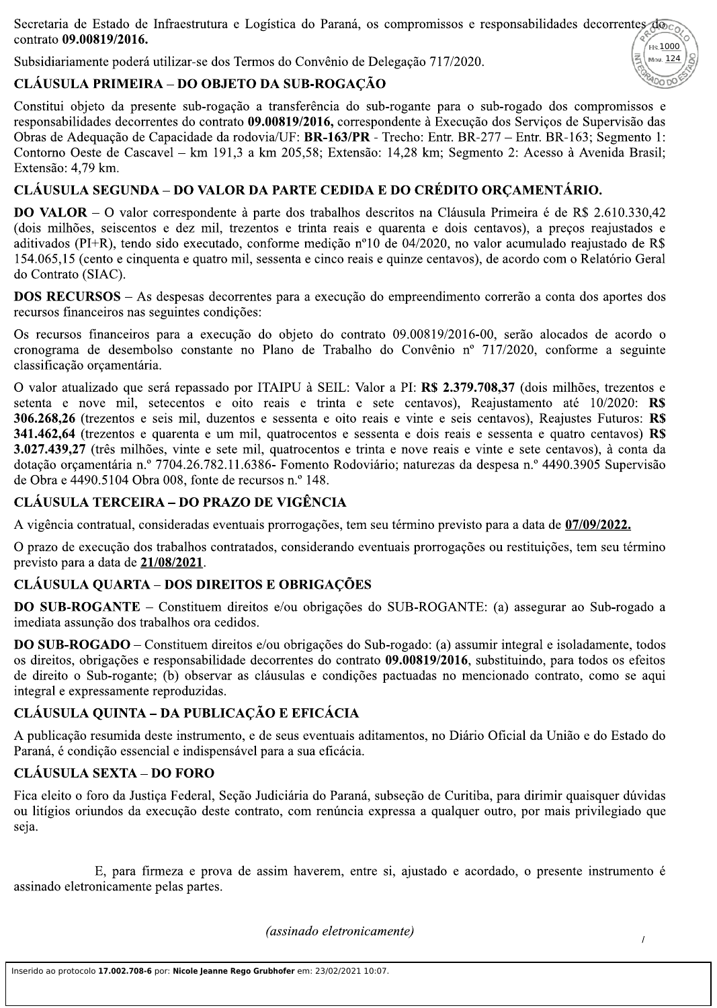Secretaria de Estado de Infraestrutura e Logística do Paraná, os compromissos e responsabilidades decorrentes doco contrato 09.00819/2016.  $F$ Is.  $1000$ 

Subsidiariamente poderá utilizar-se dos Termos do Convênio de Delegação 717/2020.



Constitui objeto da presente sub-rogação a transferência do sub-rogante para o sub-rogado dos compromissos e responsabilidades decorrentes do contrato 09.00819/2016, correspondente à Execução dos Servicos de Supervisão das Obras de Adequação de Capacidade da rodovia/UF: BR-163/PR - Trecho: Entr. BR-277 – Entr. BR-163; Segmento 1: Contorno Oeste de Cascavel – km 191,3 a km 205,58; Extensão: 14,28 km; Segmento 2: Acesso à Avenida Brasil; Extensão: 4.79 km.

### CLÁUSULA SEGUNDA – DO VALOR DA PARTE CEDIDA E DO CRÉDITO ORÇAMENTÁRIO.

**DO VALOR** – O valor correspondente à parte dos trabalhos descritos na Cláusula Primeira é de R\$ 2.610.330,42 (dois milhões, seiscentos e dez mil, trezentos e trinta reais e quarenta e dois centavos), a preços reajustados e aditivados (PI+R), tendo sido executado, conforme medição nº10 de 04/2020, no valor acumulado reajustado de R\$ 154.065,15 (cento e cinquenta e quatro mil, sessenta e cinco reais e quinze centavos), de acordo com o Relatório Geral do Contrato (SIAC).

**DOS RECURSOS** – As despesas decorrentes para a execução do empreendimento correrão a conta dos aportes dos recursos financeiros nas seguintes condições:

Os recursos financeiros para a execução do objeto do contrato 09.00819/2016-00, serão alocados de acordo o cronograma de desembolso constante no Plano de Trabalho do Convênio nº 717/2020, conforme a seguinte classificação orçamentária.

O valor atualizado que será repassado por ITAIPU à SEIL: Valor a PI: R\$ 2.379.708,37 (dois milhões, trezentos e setenta e nove mil, setecentos e oito reais e trinta e sete centavos), Reajustamento até 10/2020: R\$ 306.268.26 (trezentos e seis mil, duzentos e sessenta e oito reais e vinte e seis centavos), Reajustes Futuros: R\$ 341.462.64 (trezentos e quarenta e um mil, quatrocentos e sessenta e dois reais e sessenta e quatro centavos) R\$ 3.027.439,27 (três milhões, vinte e sete mil, quatrocentos e trinta e nove reais e vinte e sete centavos), à conta da dotação orçamentária n.º 7704.26.782.11.6386- Fomento Rodoviário; naturezas da despesa n.º 4490.3905 Supervisão de Obra e 4490.5104 Obra 008, fonte de recursos n.º 148.

#### **CLÁUSULA TERCEIRA – DO PRAZO DE VIGÊNCIA**

A vigência contratual, consideradas eventuais prorrogações, tem seu término previsto para a data de 07/09/2022.

O prazo de execução dos trabalhos contratados, considerando eventuais prorrogações ou restituições, tem seu término previsto para a data de 21/08/2021.

# **CLÁUSULA QUARTA - DOS DIREITOS E OBRIGAÇÕES**

DO SUB-ROGANTE – Constituem direitos e/ou obrigações do SUB-ROGANTE: (a) assegurar ao Sub-rogado a imediata assunção dos trabalhos ora cedidos.

**DO SUB-ROGADO** – Constituem direitos e/ou obrigações do Sub-rogado: (a) assumir integral e isoladamente, todos os direitos, obrigações e responsabilidade decorrentes do contrato 09.00819/2016, substituindo, para todos os efeitos de direito o Sub-rogante; (b) observar as cláusulas e condições pactuadas no mencionado contrato, como se aqui integral e expressamente reproduzidas.

# **CLÁUSULA QUINTA – DA PUBLICAÇÃO E EFICÁCIA**

A publicação resumida deste instrumento, e de seus eventuais aditamentos, no Diário Oficial da União e do Estado do Paraná, é condição essencial e indispensável para a sua eficácia.

### **CLÁUSULA SEXTA – DO FORO**

Fica eleito o foro da Justica Federal, Seção Judiciária do Paraná, subseção de Curitiba, para dirimir quaisquer dúvidas ou litígios oriundos da execução deste contrato, com renúncia expressa a qualquer outro, por mais privilegiado que seja.

E, para firmeza e prova de assim haverem, entre si, ajustado e acordado, o presente instrumento é assinado eletronicamente pelas partes.

(assinado eletronicamente)

Mov. 124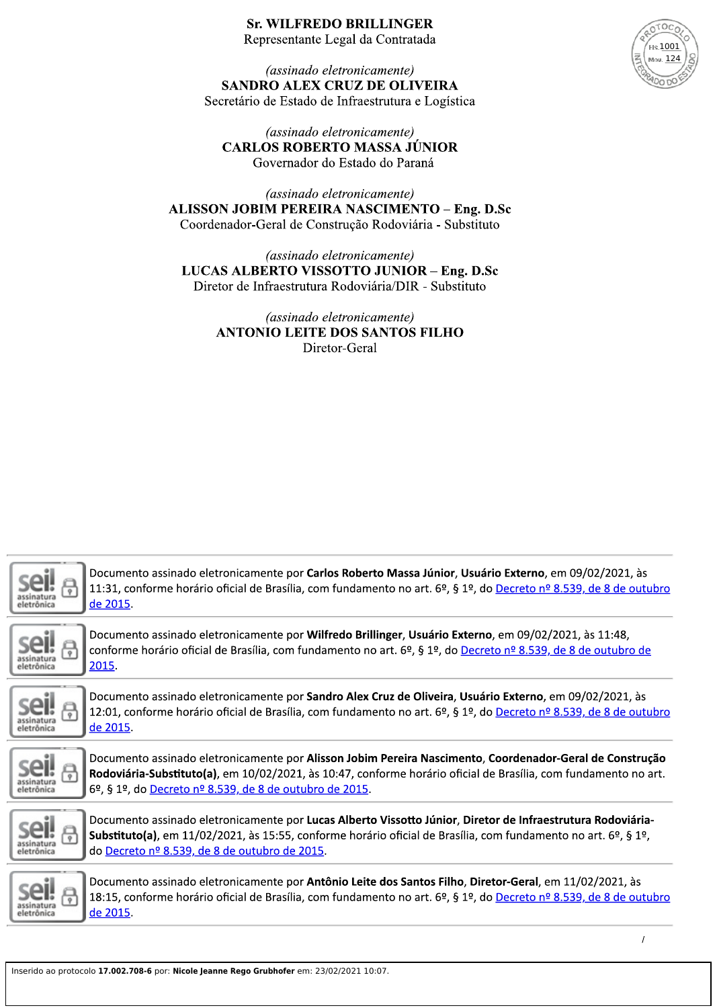# **Sr. WILFREDO BRILLINGER**



Representante Legal da Contratada

(assinado eletronicamente) SANDRO ALEX CRUZ DE OLIVEIRA Secretário de Estado de Infraestrutura e Logística

(assinado eletronicamente) **CARLOS ROBERTO MASSA JÚNIOR** Governador do Estado do Paraná

(assinado eletronicamente) ALISSON JOBIM PEREIRA NASCIMENTO - Eng. D.Sc Coordenador-Geral de Construção Rodoviária - Substituto

(assinado eletronicamente) LUCAS ALBERTO VISSOTTO JUNIOR - Eng. D.Sc Diretor de Infraestrutura Rodoviária/DIR - Substituto

> (assinado eletronicamente) **ANTONIO LEITE DOS SANTOS FILHO** Diretor-Geral

| eletrônica | Documento assinado eletronicamente por Carlos Roberto Massa Júnior, Usuário Externo, em 09/02/2021, às<br>11:31, conforme horário oficial de Brasília, com fundamento no art. 6º, § 1º, do Decreto nº 8.539, de 8 de outubro<br>de 2015.                                               |
|------------|----------------------------------------------------------------------------------------------------------------------------------------------------------------------------------------------------------------------------------------------------------------------------------------|
| eletrônica | Documento assinado eletronicamente por Wilfredo Brillinger, Usuário Externo, em 09/02/2021, às 11:48,<br>conforme horário oficial de Brasília, com fundamento no art. 6º, § 1º, do Decreto nº 8.539, de 8 de outubro de<br>2015.                                                       |
|            | Documento assinado eletronicamente por Sandro Alex Cruz de Oliveira, Usuário Externo, em 09/02/2021, às<br>12:01, conforme horário oficial de Brasília, com fundamento no art. 6º, § 1º, do Decreto nº 8.539, de 8 de outubro<br>de 2015.                                              |
| eletrónica | Documento assinado eletronicamente por Alisson Jobim Pereira Nascimento, Coordenador-Geral de Construção<br>Rodoviária-Substituto(a), em 10/02/2021, às 10:47, conforme horário oficial de Brasília, com fundamento no art.<br>6º, § 1º, do Decreto nº 8.539, de 8 de outubro de 2015. |
| eletrônica | Documento assinado eletronicamente por Lucas Alberto Vissotto Júnior, Diretor de Infraestrutura Rodoviária-<br>Substituto(a), em 11/02/2021, às 15:55, conforme horário oficial de Brasília, com fundamento no art. 6º, § 1º,<br>do Decreto nº 8.539, de 8 de outubro de 2015.         |
|            | Documento assinado eletronicamente por Antônio Leite dos Santos Filho, Diretor-Geral, em 11/02/2021, às<br>18:15, conforme horário oficial de Brasília, com fundamento no art. 6º, § 1º, do Decreto nº 8.539, de 8 de outubro<br>de 2015.                                              |